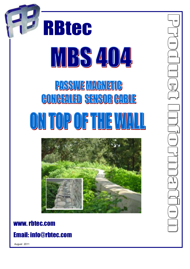

# www. rbtec.com

# Email: info@rbtec.com

August 2011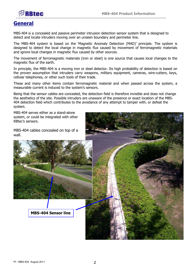

# **General**

MBS-404 is a concealed and passive perimeter intrusion detection sensor system that is designed to detect and locate intruders moving over an unseen boundary and perimeter line.

The MBS-404 system is based on the 'Magnetic Anomaly Detection (MAD)' principle. The system is designed to detect the local change in magnetic flux caused by movement of ferromagnetic materials and ignore local changes in magnetic flux caused by other sources.

The movement of ferromagnetic materials (iron or steel) is one source that causes local changes to the magnetic flux of the earth.

In principle, the MBS-404 is a moving iron or steel detector. Its high probability of detection is based on the proven assumption that intruders carry weapons, military equipment, cameras, wire-cutters, keys, cellular telephones, or other such tools of their trade.

These and many other items contain ferromagnetic material and when passed across the system, a measurable current is induced to the system's sensors.

Being that the sensor cables are concealed, the detection field is therefore invisible and does not change the aesthetics of the site. Possible intruders are unaware of the presence or exact location of the MBS-404 detection field which contributes to the avoidance of any attempt to tamper with, or defeat the system.

MBS-404 serves either as a stand-alone system, or could be integrated with other RBtec's sensors.

MBS-404 cables concealed on top of a wall.





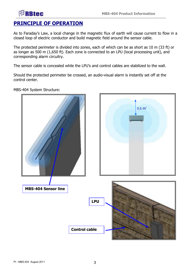#### **-------------------------------------------------------------------------------------------------- PRINCIPLE OF OPERATION**

**BBtec** 

As to Faraday's Law, a local change in the magnetic flux of earth will cause current to flow in a closed loop of electric conductor and build magnetic field around the sensor cable.

The protected perimeter is divided into zones, each of which can be as short as 10 m (33 ft) or as longer as 500 m (1,650 ft). Each zone is connected to an LPU (local processing unit), and corresponding alarm circuitry.

The sensor cable is concealed while the LPU's and control cables are stabilized to the wall.

Should the protected perimeter be crossed, an audio-visual alarm is instantly set off at the control center.

MBS-404 System Structure:

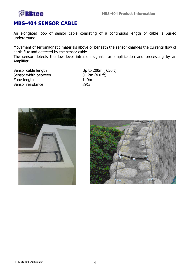

## **MBS-404 SENSOR CABLE**

An elongated loop of sensor cable consisting of a continuous length of cable is buried underground.

Movement of ferromagnetic materials above or beneath the sensor changes the currents flow of earth flux and detected by the sensor cable.

The sensor detects the low level intrusion signals for amplification and processing by an Amplifier.

Sensor cable length Up to 200m (656ft) Sensor width between 0.12m (4.0 ft) Zone length 140m Sensor resistance  $\leq 9\Omega$ 



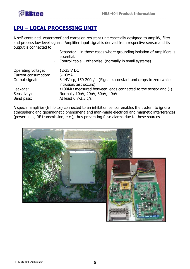

# **LPU – LOCAL PROCESSING UNIT**

A self-contained, waterproof and corrosion resistant unit especially designed to amplify, filter and process low level signals. Amplifier input signal is derived from respective sensor and its output is connected to:

|            |  |  | - Separator $-$ in those cases where grounding isolation of Amplifiers is |
|------------|--|--|---------------------------------------------------------------------------|
| essential. |  |  |                                                                           |
|            |  |  |                                                                           |

- Control cable – otherwise, (normally in small systems)

| Operating voltage:<br>Current consumption:<br>Output signal:<br>Leakage:<br>Sensitivity: | 12-35 V DC<br>$6-10mA$<br>8-14Vp-p, 150-200c/s. (Signal is constant and drops to zero while<br>intrusion/test occurs)<br>$\geq$ 100M $\Omega$ measured between leads connected to the sensor and (-)<br>Normally 10nV, 20nV, 30nV, 40nV |
|------------------------------------------------------------------------------------------|-----------------------------------------------------------------------------------------------------------------------------------------------------------------------------------------------------------------------------------------|
| Band pass:                                                                               | At least 0.7-3.5 c/s                                                                                                                                                                                                                    |
|                                                                                          |                                                                                                                                                                                                                                         |

A special amplifier (Inhibitor) connected to an inhibition sensor enables the system to ignore atmospheric and geomagnetic phenomena and man-made electrical and magnetic interferences (power lines, RF transmission, etc.), thus preventing false alarms due to these sources.

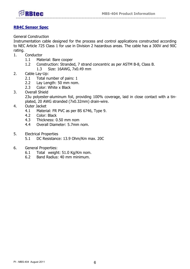

#### **RB4C Sensor Spec**

General Construction

Instrumentation cable designed for the process and control applications constructed according to NEC Article 725 Class 1 for use in Division 2 hazardous areas. The cable has a 300V and 90C rating.

- 1. Conductor
	- 1.1 Material: Bare cooper
	- 1.2 Construction: Stranded, 7 strand concentric as per ASTM B-8, Class B.
		- 1.3 Size: 16AWG, 7x0.49 mm
- 2. Cable Lay-Up:
	- 2.1 Total number of pairs: 1
	- 2.2 Lay Length: 50 mm nom.
	- 2.3 Color: White x Black
- 3. Overall Shield

23u polyester-aluminum foil, providing 100% coverage, laid in close contact with a tinplated, 20 AWG stranded (7x0.32mm) drain-wire.

- 4. Outer Jacket
	- 4.1 Material: FR PVC as per BS 6746, Type 9.
	- 4.2 Color: Black
	- 4.3 Thickness: 0.50 mm nom
	- 4.4 Overall Diameter: 5.7mm nom.
- 5. Electrical Properties
	- 5.1 DC Resistance: 13.9 Ohm/Km max. 20C
- 6. General Properties:
	- 6.1 Total weight: 51.0 Kg/Km nom.
	- 6.2 Band Radius: 40 mm minimum.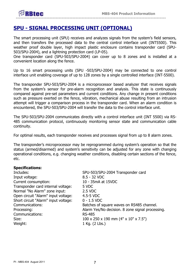

# **SPU - SIGNAL PROCESSING UNIT (OPTIONAL)**

The smart processing unit (SPU) receives and analyzes signals from the system's field sensors, and then transfers the processed data to the central control interface unit (INT5500). This weather proof double layer, high impact plastic enclosure contains transponder card (SPU-503/SPU-2004), and a lightning protection card (LP-05).

One transponder card (SPU-503/SPU-2004) can cover up to 8 zones and is installed at a convenient location along the fence.

Up to 16 smart processing units (SPU -503/SPU-2004) may be connected to one control interface unit enabling coverage of up to 128 zones by a single controlled interface (INT-5500).

The transponder SPU-503/SPU-2004 is a microprocessor based analyzer that receives signals from the system's sensor for pre-alarm recognition and analysis. This state is continuously compared against pre-set parameters and current conditions. Any change in present conditions such as pressure exerted on the fence, vibration, mechanical abuse resulting from an intrusion attempt will trigger a comparison process in the transponder card. When an alarm condition is encountered, the SPU-503/SPU-2004 will transfer the data to the control interface unit.

The SPU-503/SPU-2004 communicates directly with a control interface unit (INT 5500) via RS-485 communication protocol, continuously monitoring sensor state and communication cable continuity.

For optimal results, each transponder receives and processes signal from up to 8 alarm zones.

The transponder's microprocessor may be reprogrammed during system's operation so that the status (armed/disarmed) and system's sensitivity can be adjusted for any zone with changing operational conditions, e.g. changing weather conditions, disabling certain sections of the fence, etc.

#### **Specifications:**

Includes: SPU-503/SPU-2004 Transponder card Input voltage: 8.5 - 32 VDC Current consumption: 10 - 35mA at 15VDC Transponder card internal voltage: 5 VDC Normal "No Alarm" zone input: 2.5 VDC Open circuit "Alarm" input voltage: 4.5-5 VDC Short circuit "Alarm" input voltage: 0 - 1.5 VDC Communications: Batches of square waves on RS485 channel. Processing: Alarm Yes/No decision. 8 zone signal processing. Communications: RS-485 Size: 100 x 250 x 190 mm (4" x 10" x 7.5") Weight: 1 Kg. (2 Lbs.)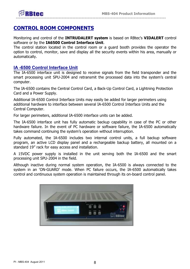

# **CONTROL ROOM COMPONENTS**

Monitoring and control of the **INTRUDALERT system** is based on RBtec's **VIDALERT** control software or by the **IA6500 Control Interface Unit**.

The control station located in the control room or a guard booth provides the operator the option to control, monitor, save and display all the security events within his area, manually or automatically.

#### **IA -6500 Control Interface Unit**

The IA-6500 interface unit is designed to receive signals from the field transponder and the smart processing unit SPU-2004 and retransmit the processed data into the system's central computer.

The IA-6500 contains the Central Control Card, a Back-Up Control Card, a Lightning Protection Card and a Power Supply.

Additional IA-6500 Control Interface Units may easily be added for larger perimeters using additional hardware to interface between several IA-6500 Control Interface Units and the Central Computer.

For larger perimeters, additional IA-6500 interface units can be added.

The IA-6500 interface unit has fully automatic backup capability in case of the PC or other hardware failure. In the event of PC hardware or software failure, the IA-6500 automatically takes command continuing the system's operation without interruption.

Fully automated, the IA-6500 includes two internal control units, a full backup software program, an active LCD display panel and a rechargeable backup battery, all mounted on a standard 19" rack for easy access and installation.

A 15VDC power supply is installed in the unit serving both the IA-6500 and the smart processing unit SPU-2004 in the field.

Although inactive during normal system operation, the IA-6500 is always connected to the system in an 'ON-GUARD' mode. When PC failure occurs, the IA-6500 automatically takes control and continuous system operation is maintained through its on-board control panel.

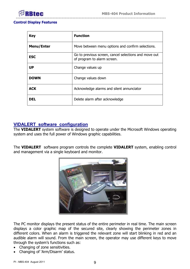

#### **Control Display Features**

| <b>Key</b>        | <b>Function</b>                                                                      |
|-------------------|--------------------------------------------------------------------------------------|
| <b>Menu/Enter</b> | Move between menu options and confirm selections.                                    |
| <b>ESC</b>        | Go to previous screen, cancel selections and move out<br>of program to alarm screen. |
| <b>UP</b>         | Change values up                                                                     |
| <b>DOWN</b>       | Change values down                                                                   |
| <b>ACK</b>        | Acknowledge alarms and silent annunciator                                            |
| <b>DEL</b>        | Delete alarm after acknowledge                                                       |

#### **VIDALERT software configuration**

The **VIDALERT** system software is designed to operate under the Microsoft Windows operating system and uses the full power of Windows graphic capabilities.

The **VIDALERT** software program controls the complete **VIDALERT** system, enabling control and management via a single keyboard and monitor.



The PC monitor displays the present status of the entire perimeter in real time. The main screen displays a color graphic map of the secured site, clearly showing the perimeter zones in different colors. When an alarm is triggered the relevant zone will start blinking in red and an audible alarm will sound. From the main screen, the operator may use different keys to move through the system's functions such as:

- Changing of zone sensitivities.
- Changing of 'Arm/Disarm' status.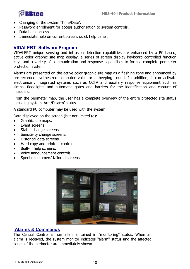

- Changing of the system 'Time/Date'.
- Password enrollment for access authorization to system controls.
- Data bank access.
- Immediate help on current screen, quick help panel.

#### **VIDALERT Software Program**

VIDALERT unique sensing and intrusion detection capabilities are enhanced by a PC based, active color graphic site map display, a series of screen display keyboard controlled function keys and a variety of communication and response capabilities to form a complete perimeter protection system.

Alarms are presented on the active color graphic site map as a flashing zone and announced by pre-recorded synthesized computer voice or a beeping sound. In addition, it can activate electronically integrated systems such as CCTV and auxiliary response equipment such as sirens, floodlights and automatic gates and barriers for the identification and capture of intruders.

From the perimeter map, the user has a complete overview of the entire protected site status including system 'Arm/Disarm' status.

A standard PC computer may be used with the system.

Data displayed on the screen (but not limited to):

- Graphic site maps.
- Event screens.
- Status change screens.
- Sensitivity change screens.
- Historical data screens.
- Hard copy and printout control.
- Built-in help screens.
- Voice announcement controls.
- Special customers' tailored screens.



#### **Alarms & Commands**

The Central Control is normally maintained in "monitoring" status. When an alarm is received, the system monitor indicates "alarm" status and the affected zones of the perimeter are immediately shown.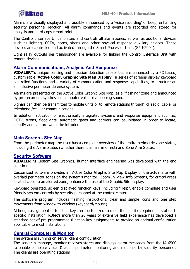

Alarms are visually displayed and audibly announced by a 'voice recording' or beep, enhancing security personnel reaction. All alarm commands and events are recorded and stored for analysis and hard copy report printing.

The Control Interface Unit monitors and controls all alarm zones, as well as additional devices such as lighting, CCTV, horns, sirens and other physical response auxiliary devices. These devices are controlled and activated through the Smart Processor Units (SPU-2004).

Eight relay outputs per transponder are available for linking the Control Interface Unit with remote devices.

#### **Alarm Communications, Analysis And Response**

**VIDALERT's** unique sensing and intrusion detection capabilities are enhanced by a PC based, customizable **'Active Color, Graphic Site Map Display',** a series of screens display keyboard controlled functions and a variety of communication and response capabilities, to structure an all inclusive perimeter defense system.

Alarms are presented on the Active Color Graphic Site Map, as a "flashing" zone and announced by pre-recorded, synthesized computer voice or a beeping sound.

Signals can then be transmitted to mobile units or to remote stations through RF radio, cable, or telephone /cellular communications.

In addition, activation of electronically integrated systems and response equipment such as; CCTV, sirens, floodlights, automatic gates and barriers can be initiated in order to locate, identify and capture would-be intruders.

#### **Main Screen - Site Map**

From the perimeter map the user has a complete overview of the entire perimetric zone status, including the Alarm Status (whether there is an alarm or not) and Zone Arm Status.

#### **Security Software**

**VIDALERT's** Custom-Site Graphics, human interface engineering was developed with the end user in mind.

Customized software provides an Active Color Graphic Site Map Display of the actual site with overlaid perimeter zones on the system's monitor. 'Zoom-In' view Info Screens, for critical areas located close to an alerted zone; enhance the use of the Graphic Site display.

Keyboard operated, screen displayed function keys, including "Help", enable complete and user friendly system controls by security personnel at the control center.

The software program includes flashing instructions, clear and simple icons and one step movements from window to window (keyboard/mouse).

Although assignment of function keys are customized to meet the specific requirements of each specific installation, RBtec's more than 20 years of extensive field experience has developed a standard set of pre-programmed function key assignments to provide an optimal configuration applicable to most installations.

#### **Central Computer & Monitor**

The system is running on server client configuration.

The server is manage, monitor receives stores and displays alarm messages from the IA-6500 to enable complete visual & audio perimeter monitoring and response by security personnel. The clients are operating stations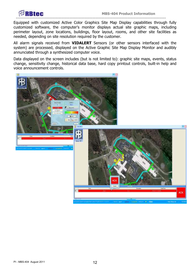

**--------------------------------------------------------------------------------------------------**  Equipped with customized Active Color Graphics Site Map Display capabilities through fully customized software, the computer's monitor displays actual site graphic maps, including perimeter layout, zone locations, buildings, floor layout, rooms, and other site facilities as needed, depending on site resolution required by the customer.

All alarm signals received from **VIDALERT** Sensors (or other sensors interfaced with the system) are processed, displayed on the Active Graphic Site Map Display Monitor and audibly annunciated through a synthesized computer voice.

Data displayed on the screen includes (but is not limited to): graphic site maps, events, status change, sensitivity change, historical data base, hard copy printout controls, built-in help and voice announcement controls.

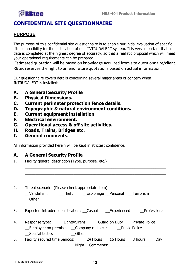#### **-------------------------------------------------------------------------------------------------- CONFIDENTIAL SITE QUESTIONNAIRE**

### **PURPOSE**

RRtec

The purpose of this confidential site questionnaire is to enable our initial evaluation of specific site compatibility for the installation of our INTRUDALERT system. It is very important that all data is completed at the highest degree of accuracy, so that a realistic proposal which will meet your operational requirements can be prepared.

 Estimated quotation will be based on knowledge acquired from site questionnaire/client. RBtec reserves the right to amend future quotations based on actual information.

Our questionnaire covers details concerning several major areas of concern when INTRUDALERT is installed:

- **A. A General Security Profile**
- **B. Physical Dimensions.**
- **C. Current perimeter protection fence details.**
- **D. Topographic & natural environment conditions.**
- **E. Current equipment installation**
- **F. Electrical environment.**
- **G. Operational access & off site activities.**
- **H. Roads, Trains, Bridges etc.**
- **I. General comments.**

All information provided herein will be kept in strictest confidence.

### **A. A General Security Profile**

1. Facility general description (Type, purpose, etc.)

| 2. | Threat scenario: (Please check appropriate item)<br>Vandalism. Theft Espionage Personal Terrorism<br>Other and the contract of the contract of the contract of the contract of the contract of the contract of the contract of the contract of the contract of the contract of the contract of the contract of the contract of the |
|----|------------------------------------------------------------------------------------------------------------------------------------------------------------------------------------------------------------------------------------------------------------------------------------------------------------------------------------|
| 3. | Expected Intruder sophistication: Casual Experienced Professional                                                                                                                                                                                                                                                                  |
| 4. | Employee on premises Company radio car Public Police                                                                                                                                                                                                                                                                               |
| 5. | __Special tactics _________Other<br>Night Comments: Night School and School and School and School and School and School and School and School and School and School and School and School and School and School and School and School and School and School and Sc                                                                 |

 $\_$  ,  $\_$  ,  $\_$  ,  $\_$  ,  $\_$  ,  $\_$  ,  $\_$  ,  $\_$  ,  $\_$  ,  $\_$  ,  $\_$  ,  $\_$  ,  $\_$  ,  $\_$  ,  $\_$  ,  $\_$  ,  $\_$  ,  $\_$  ,  $\_$  ,  $\_$  ,  $\_$  ,  $\_$  ,  $\_$  ,  $\_$  ,  $\_$  ,  $\_$  ,  $\_$  ,  $\_$  ,  $\_$  ,  $\_$  ,  $\_$  ,  $\_$  ,  $\_$  ,  $\_$  ,  $\_$  ,  $\_$  ,  $\_$  ,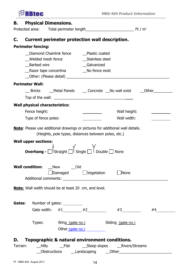|                        | <b>RBtec</b><br>-------------------------------  |                                                                    | <b>MBS-404 Product Information</b> |                                                                                      |    |
|------------------------|--------------------------------------------------|--------------------------------------------------------------------|------------------------------------|--------------------------------------------------------------------------------------|----|
| В.                     | <b>Physical Dimensions.</b>                      |                                                                    |                                    |                                                                                      |    |
| Protected area:        |                                                  |                                                                    |                                    |                                                                                      |    |
| C.                     |                                                  | Current perimeter protection wall description.                     |                                    |                                                                                      |    |
|                        | <b>Perimeter fencing:</b>                        |                                                                    |                                    |                                                                                      |    |
|                        |                                                  |                                                                    |                                    |                                                                                      |    |
|                        | Welded mesh fence                                | Diamond Chainlink fence Plastic coated                             |                                    |                                                                                      |    |
|                        | Barbed wire                                      |                                                                    | Stainless steel<br>Galvanized      |                                                                                      |    |
|                        |                                                  | Razor tape concertina ______________No fence exist                 |                                    |                                                                                      |    |
|                        |                                                  |                                                                    |                                    |                                                                                      |    |
| <b>Perimeter Wall:</b> |                                                  |                                                                    |                                    |                                                                                      |    |
|                        |                                                  |                                                                    |                                    |                                                                                      |    |
|                        |                                                  |                                                                    |                                    |                                                                                      |    |
|                        |                                                  |                                                                    |                                    |                                                                                      |    |
|                        | <b>Wall physical characteristics:</b>            |                                                                    |                                    |                                                                                      |    |
|                        | Fence height:                                    |                                                                    |                                    | Wall height:                                                                         |    |
|                        | Type of fence poles:                             |                                                                    |                                    | Wall width:                                                                          |    |
|                        |                                                  | (Heights, pole types, distances between poles, etc.)               |                                    | <b>Note:</b> Please use additional drawings or pictures for additional wall details. |    |
|                        | <b>Wall upper sections:</b><br><b>Overhang -</b> | IStraight<br>   Single                                             | I Double                           | <b>None</b>                                                                          |    |
|                        |                                                  | <b>Wall condition:</b> New Cld<br>$\Box$ Damaged $\Box$ Vegetation |                                    | None                                                                                 |    |
|                        |                                                  | <b>Note:</b> Wall width should be at least 20 cm, and level.       |                                    |                                                                                      |    |
|                        |                                                  | Gates: Number of gates: _________                                  |                                    |                                                                                      |    |
|                        |                                                  |                                                                    |                                    |                                                                                      | #4 |
|                        |                                                  |                                                                    |                                    | Gate width: $\#1$ $\qquad \#2$ $\qquad \#3$ $\qquad \#3$                             |    |
|                        |                                                  |                                                                    |                                    | Types: Wing (gate no.) Sliding (gate no.)                                            |    |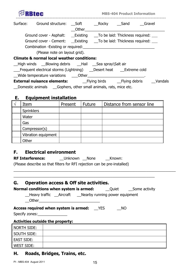| <b>Btec</b>                                                                                                                                                                                                                    |       |            | <b>MBS-404 Product Information</b> |        |         |
|--------------------------------------------------------------------------------------------------------------------------------------------------------------------------------------------------------------------------------|-------|------------|------------------------------------|--------|---------|
| Surface: Ground structure: Soft                                                                                                                                                                                                | Other | Rocky Sand |                                    | Gravel |         |
|                                                                                                                                                                                                                                |       |            |                                    |        |         |
| Ground cover - Cement: ____Existing ______To be laid: Thickness required: _____                                                                                                                                                |       |            |                                    |        |         |
| Combination - Existing or required:                                                                                                                                                                                            |       |            |                                    |        |         |
| (Please note on layout grid).                                                                                                                                                                                                  |       |            |                                    |        |         |
| <b>Climate &amp; normal local weather conditions:</b>                                                                                                                                                                          |       |            |                                    |        |         |
| -High winds - Blowing debris - Hail - Sea spray\Salt air                                                                                                                                                                       |       |            |                                    |        |         |
| ___Frequent electrical storms (Lightning) ___Desert heat _____Extreme cold                                                                                                                                                     |       |            |                                    |        |         |
| Wide temperature variations compared on the contract of the contract of the contract of the contract of the contract of the contract of the contract of the contract of the contract of the contract of the contract of the co |       |            |                                    |        |         |
|                                                                                                                                                                                                                                |       |            |                                    |        | Vandals |
|                                                                                                                                                                                                                                |       |            |                                    |        |         |

# **E. Equipment installation**

| Item                | Present | <b>Future</b> | Distance from sensor line |
|---------------------|---------|---------------|---------------------------|
| <b>Sprinklers</b>   |         |               |                           |
| Water               |         |               |                           |
| Gas                 |         |               |                           |
| Compressor(s)       |         |               |                           |
| Vibration equipment |         |               |                           |
| Other               |         |               |                           |

## **F. Electrical environment**

| <b>RF Interference:</b>                                                  | <b>Unknown</b> | None | Known: |
|--------------------------------------------------------------------------|----------------|------|--------|
| (Please describe so that filters for RFI rejection can be pre-installed) |                |      |        |

### **G. Operation access & Off site activities.**

| _Heavy traffic __Aircraft ___Nearby running power equipment |    |  |
|-------------------------------------------------------------|----|--|
| <b>Access required when system is armed:</b> TYES           | NO |  |
| Specify zones: ________________                             |    |  |
| Activities eutside the nuonethu                             |    |  |

 $\_$  , and the set of the set of the set of the set of the set of the set of the set of the set of the set of the set of the set of the set of the set of the set of the set of the set of the set of the set of the set of th

 $\_$  , and the contribution of the contribution of the contribution of the contribution of the contribution of  $\mathcal{L}_i$ 

#### **Activities outside the property:**

| NORTH SIDE:        |  |
|--------------------|--|
| <b>SOUTH SIDE:</b> |  |
| <b>EAST SIDE:</b>  |  |
| WEST SIDE:         |  |

## **H. Roads, Bridges, Trains, etc.**